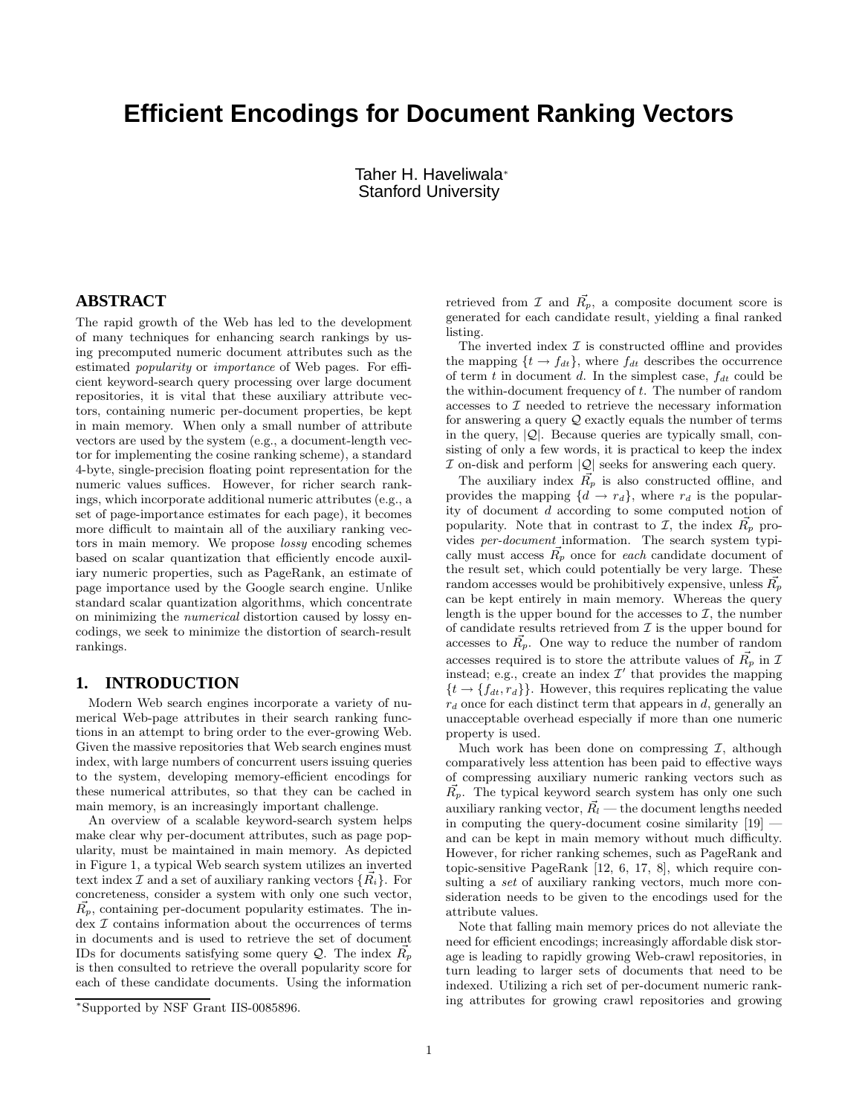# **Efficient Encodings for Document Ranking Vectors**

Taher H. Haveliwala<sup>∗</sup> Stanford University

# **ABSTRACT**

The rapid growth of the Web has led to the development of many techniques for enhancing search rankings by using precomputed numeric document attributes such as the estimated popularity or importance of Web pages. For efficient keyword-search query processing over large document repositories, it is vital that these auxiliary attribute vectors, containing numeric per-document properties, be kept in main memory. When only a small number of attribute vectors are used by the system (e.g., a document-length vector for implementing the cosine ranking scheme), a standard 4-byte, single-precision floating point representation for the numeric values suffices. However, for richer search rankings, which incorporate additional numeric attributes (e.g., a set of page-importance estimates for each page), it becomes more difficult to maintain all of the auxiliary ranking vectors in main memory. We propose lossy encoding schemes based on scalar quantization that efficiently encode auxiliary numeric properties, such as PageRank, an estimate of page importance used by the Google search engine. Unlike standard scalar quantization algorithms, which concentrate on minimizing the numerical distortion caused by lossy encodings, we seek to minimize the distortion of search-result rankings.

#### **1. INTRODUCTION**

Modern Web search engines incorporate a variety of numerical Web-page attributes in their search ranking functions in an attempt to bring order to the ever-growing Web. Given the massive repositories that Web search engines must index, with large numbers of concurrent users issuing queries to the system, developing memory-efficient encodings for these numerical attributes, so that they can be cached in main memory, is an increasingly important challenge.

An overview of a scalable keyword-search system helps make clear why per-document attributes, such as page popularity, must be maintained in main memory. As depicted in Figure 1, a typical Web search system utilizes an inverted text index  $\mathcal I$  and a set of auxiliary ranking vectors  $\{R_i\}$ . For concreteness, consider a system with only one such vector,  $R_p$ , containing per-document popularity estimates. The index I contains information about the occurrences of terms in documents and is used to retrieve the set of document IDs for documents satisfying some query  $Q$ . The index  $R_p$ is then consulted to retrieve the overall popularity score for each of these candidate documents. Using the information

retrieved from  $\mathcal I$  and  $\vec{R_p}$ , a composite document score is generated for each candidate result, yielding a final ranked listing.

The inverted index  $\mathcal I$  is constructed offline and provides the mapping  $\{t \to f_{dt}\}$ , where  $f_{dt}$  describes the occurrence of term  $t$  in document  $d$ . In the simplest case,  $f_{dt}$  could be the within-document frequency of t. The number of random accesses to  $\mathcal I$  needed to retrieve the necessary information for answering a query  $Q$  exactly equals the number of terms in the query,  $|Q|$ . Because queries are typically small, consisting of only a few words, it is practical to keep the index  ${\mathcal I}$  on-disk and perform  $|{\mathcal Q}|$  seeks for answering each query.

The auxiliary index  $\vec{R_p}$  is also constructed offline, and provides the mapping  $\{d \to r_d\}$ , where  $r_d$  is the popularity of document d according to some computed notion of popularity. Note that in contrast to  $\mathcal{I}$ , the index  $\vec{R_p}$  provides per-document information. The search system typically must access  $\vec{R_p}$  once for each candidate document of the result set, which could potentially be very large. These random accesses would be prohibitively expensive, unless  $\vec{R_n}$ can be kept entirely in main memory. Whereas the query length is the upper bound for the accesses to  $\mathcal{I}$ , the number of candidate results retrieved from  $\mathcal I$  is the upper bound for accesses to  $\vec{R_p}$ . One way to reduce the number of random accesses required is to store the attribute values of  $\vec{R_p}$  in I instead; e.g., create an index  $\mathcal{I}'$  that provides the mapping  $\{t \rightarrow \{f_{dt}, r_d\}\}\.$  However, this requires replicating the value  $r_d$  once for each distinct term that appears in d, generally an unacceptable overhead especially if more than one numeric property is used.

Much work has been done on compressing  $\mathcal{I}$ , although comparatively less attention has been paid to effective ways of compressing auxiliary numeric ranking vectors such as  $\vec{R_p}$ . The typical keyword search system has only one such auxiliary ranking vector,  $\vec{R}_l$  — the document lengths needed in computing the query-document cosine similarity [19] and can be kept in main memory without much difficulty. However, for richer ranking schemes, such as PageRank and topic-sensitive PageRank [12, 6, 17, 8], which require consulting a set of auxiliary ranking vectors, much more consideration needs to be given to the encodings used for the attribute values.

Note that falling main memory prices do not alleviate the need for efficient encodings; increasingly affordable disk storage is leading to rapidly growing Web-crawl repositories, in turn leading to larger sets of documents that need to be indexed. Utilizing a rich set of per-document numeric ranking attributes for growing crawl repositories and growing

<sup>∗</sup>Supported by NSF Grant IIS-0085896.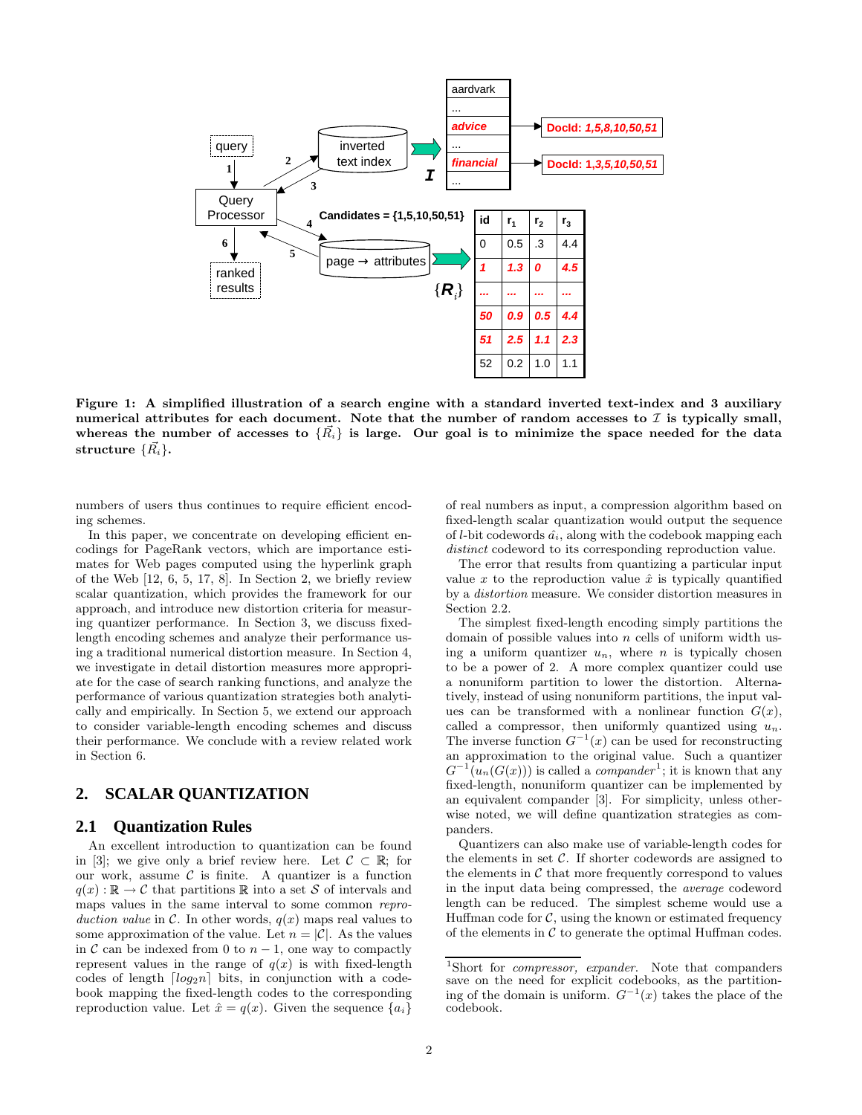

Figure 1: A simplified illustration of a search engine with a standard inverted text-index and 3 auxiliary numerical attributes for each document. Note that the number of random accesses to  $\mathcal I$  is typically small, whereas the number of accesses to  $\{\vec{R_i}\}\$ is large. Our goal is to minimize the space needed for the data structure  $\{\vec{R_i}\}.$ 

numbers of users thus continues to require efficient encoding schemes.

In this paper, we concentrate on developing efficient encodings for PageRank vectors, which are importance estimates for Web pages computed using the hyperlink graph of the Web [12, 6, 5, 17, 8]. In Section 2, we briefly review scalar quantization, which provides the framework for our approach, and introduce new distortion criteria for measuring quantizer performance. In Section 3, we discuss fixedlength encoding schemes and analyze their performance using a traditional numerical distortion measure. In Section 4, we investigate in detail distortion measures more appropriate for the case of search ranking functions, and analyze the performance of various quantization strategies both analytically and empirically. In Section 5, we extend our approach to consider variable-length encoding schemes and discuss their performance. We conclude with a review related work in Section 6.

# **2. SCALAR QUANTIZATION**

#### **2.1 Quantization Rules**

An excellent introduction to quantization can be found in [3]; we give only a brief review here. Let  $\mathcal{C} \subset \mathbb{R}$ ; for the our work, assume  $C$  is finite. A quantizer is a function  $q(x): \mathbb{R} \to C$  that partitions  $\mathbb R$  into a set S of intervals and maps values in the same interval to some common reproduction value in C. In other words,  $q(x)$  maps real values to some approximation of the value. Let  $n = |\mathcal{C}|$ . As the values in  $\mathcal C$  can be indexed from 0 to  $n-1$ , one way to compactly represent values in the range of  $q(x)$  is with fixed-length codes of length  $\lceil log_2n \rceil$  bits, in conjunction with a codebook mapping the fixed-length codes to the corresponding reproduction value. Let  $\hat{x} = q(x)$ . Given the sequence  $\{a_i\}$ 

of real numbers as input, a compression algorithm based on fixed-length scalar quantization would output the sequence of  $l$ -bit codewords  $\hat{a_i}$ , along with the codebook mapping each distinct codeword to its corresponding reproduction value.

The error that results from quantizing a particular input value x to the reproduction value  $\hat{x}$  is typically quantified by a distortion measure. We consider distortion measures in Section 2.2.

The simplest fixed-length encoding simply partitions the domain of possible values into  $n$  cells of uniform width using a uniform quantizer  $u_n$ , where n is typically chosen to be a power of 2. A more complex quantizer could use a nonuniform partition to lower the distortion. Alternatively, instead of using nonuniform partitions, the input values can be transformed with a nonlinear function  $G(x)$ , called a compressor, then uniformly quantized using  $u_n$ . The inverse function  $G^{-1}(x)$  can be used for reconstructing an approximation to the original value. Such a quantizer  $G^{-1}(u_n(G(x)))$  is called a *compander*<sup>1</sup>; it is known that any fixed-length, nonuniform quantizer can be implemented by an equivalent compander [3]. For simplicity, unless otherwise noted, we will define quantization strategies as companders.

Quantizers can also make use of variable-length codes for the elements in set  $C$ . If shorter codewords are assigned to the elements in  $\mathcal C$  that more frequently correspond to values in the input data being compressed, the average codeword length can be reduced. The simplest scheme would use a Huffman code for  $\mathcal{C}$ , using the known or estimated frequency of the elements in  $\mathcal C$  to generate the optimal Huffman codes.

<sup>&</sup>lt;sup>1</sup>Short for *compressor*, *expander*. Note that companders save on the need for explicit codebooks, as the partitioning of the domain is uniform.  $G^{-1}(x)$  takes the place of the codebook.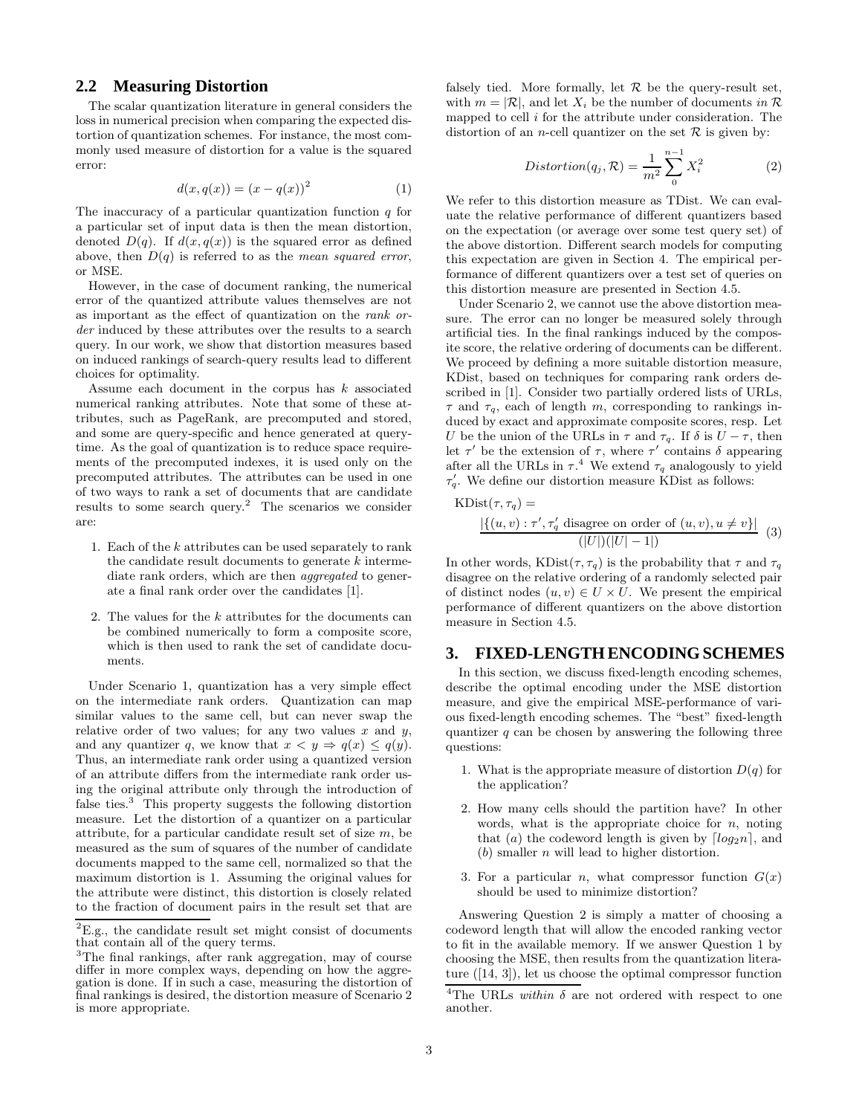#### **2.2 Measuring Distortion**

The scalar quantization literature in general considers the loss in numerical precision when comparing the expected distortion of quantization schemes. For instance, the most commonly used measure of distortion for a value is the squared error:

$$
d(x, q(x)) = (x - q(x))^2
$$
 (1)

The inaccuracy of a particular quantization function  $q$  for a particular set of input data is then the mean distortion, denoted  $D(q)$ . If  $d(x, q(x))$  is the squared error as defined above, then  $D(q)$  is referred to as the *mean squared error*, or MSE.

However, in the case of document ranking, the numerical error of the quantized attribute values themselves are not as important as the effect of quantization on the rank order induced by these attributes over the results to a search query. In our work, we show that distortion measures based on induced rankings of search-query results lead to different choices for optimality.

Assume each document in the corpus has  $k$  associated numerical ranking attributes. Note that some of these attributes, such as PageRank, are precomputed and stored, and some are query-specific and hence generated at querytime. As the goal of quantization is to reduce space requirements of the precomputed indexes, it is used only on the precomputed attributes. The attributes can be used in one of two ways to rank a set of documents that are candidate results to some search query.<sup>2</sup> The scenarios we consider are:

- 1. Each of the k attributes can be used separately to rank the candidate result documents to generate  $k$  intermediate rank orders, which are then *aggregated* to generate a final rank order over the candidates [1].
- 2. The values for the  $k$  attributes for the documents can be combined numerically to form a composite score, which is then used to rank the set of candidate documents.

Under Scenario 1, quantization has a very simple effect on the intermediate rank orders. Quantization can map similar values to the same cell, but can never swap the relative order of two values; for any two values  $x$  and  $y$ , and any quantizer q, we know that  $x < y \Rightarrow q(x) \leq q(y)$ . Thus, an intermediate rank order using a quantized version of an attribute differs from the intermediate rank order using the original attribute only through the introduction of false ties.<sup>3</sup> This property suggests the following distortion measure. Let the distortion of a quantizer on a particular attribute, for a particular candidate result set of size  $m$ , be measured as the sum of squares of the number of candidate documents mapped to the same cell, normalized so that the maximum distortion is 1. Assuming the original values for the attribute were distinct, this distortion is closely related to the fraction of document pairs in the result set that are

falsely tied. More formally, let  $R$  be the query-result set, with  $m = |\mathcal{R}|$ , and let  $X_i$  be the number of documents in  $\mathcal{R}$ mapped to cell  $i$  for the attribute under consideration. The distortion of an *n*-cell quantizer on the set  $\mathcal R$  is given by:

$$
Distortion(q_j, \mathcal{R}) = \frac{1}{m^2} \sum_{0}^{n-1} X_i^2
$$
 (2)

We refer to this distortion measure as TDist. We can evaluate the relative performance of different quantizers based on the expectation (or average over some test query set) of the above distortion. Different search models for computing this expectation are given in Section 4. The empirical performance of different quantizers over a test set of queries on this distortion measure are presented in Section 4.5.

Under Scenario 2, we cannot use the above distortion measure. The error can no longer be measured solely through artificial ties. In the final rankings induced by the composite score, the relative ordering of documents can be different. We proceed by defining a more suitable distortion measure, KDist, based on techniques for comparing rank orders described in [1]. Consider two partially ordered lists of URLs,  $\tau$  and  $\tau_q$ , each of length m, corresponding to rankings induced by exact and approximate composite scores, resp. Let U be the union of the URLs in  $\tau$  and  $\tau_q$ . If  $\delta$  is  $U - \tau$ , then let  $\tau'$  be the extension of  $\tau$ , where  $\tau'$  contains  $\delta$  appearing after all the URLs in  $\tau$ <sup>4</sup>. We extend  $\tau_q$  analogously to yield  $\tau'_q$ . We define our distortion measure KDist as follows:

$$
KDist(\tau, \tau_q) =
$$
  
\n
$$
\frac{|\{(u, v) : \tau', \tau'_q \text{ disagree on order of } (u, v), u \neq v\}|}{(|U|)(|U| - 1|)} \tag{3}
$$

In other words,  $KDist(\tau, \tau_q)$  is the probability that  $\tau$  and  $\tau_q$ disagree on the relative ordering of a randomly selected pair of distinct nodes  $(u, v) \in U \times U$ . We present the empirical performance of different quantizers on the above distortion measure in Section 4.5.

#### **3. FIXED-LENGTHENCODINGSCHEMES**

In this section, we discuss fixed-length encoding schemes, describe the optimal encoding under the MSE distortion measure, and give the empirical MSE-performance of various fixed-length encoding schemes. The "best" fixed-length quantizer  $q$  can be chosen by answering the following three questions:

- 1. What is the appropriate measure of distortion  $D(q)$  for the application?
- 2. How many cells should the partition have? In other words, what is the appropriate choice for  $n$ , noting that (a) the codeword length is given by  $\lceil log_2 n \rceil$ , and  $(b)$  smaller *n* will lead to higher distortion.
- 3. For a particular *n*, what compressor function  $G(x)$ should be used to minimize distortion?

Answering Question 2 is simply a matter of choosing a codeword length that will allow the encoded ranking vector to fit in the available memory. If we answer Question 1 by choosing the MSE, then results from the quantization literature ([14, 3]), let us choose the optimal compressor function

 ${}^{2}E.g.,$  the candidate result set might consist of documents that contain all of the query terms.

<sup>3</sup>The final rankings, after rank aggregation, may of course differ in more complex ways, depending on how the aggregation is done. If in such a case, measuring the distortion of final rankings is desired, the distortion measure of Scenario 2 is more appropriate.

<sup>&</sup>lt;sup>4</sup>The URLs *within*  $\delta$  are not ordered with respect to one another.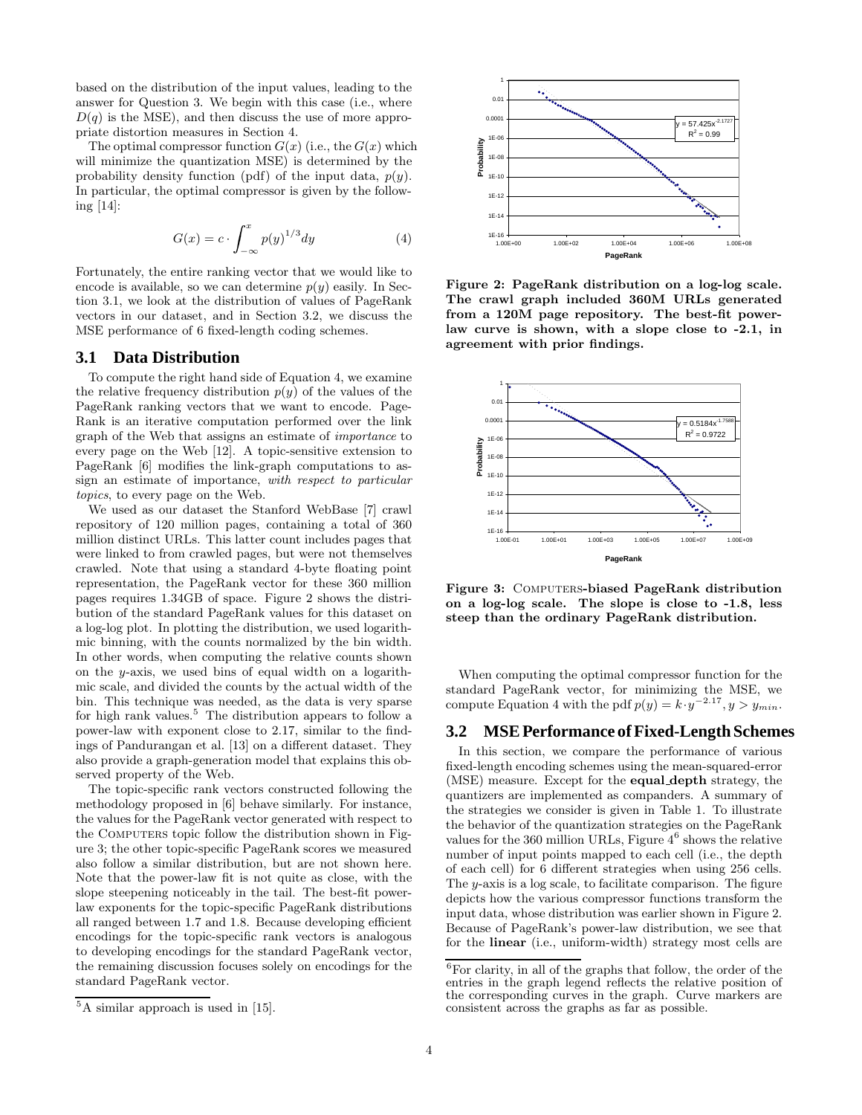based on the distribution of the input values, leading to the answer for Question 3. We begin with this case (i.e., where  $D(q)$  is the MSE), and then discuss the use of more appropriate distortion measures in Section 4.

The optimal compressor function  $G(x)$  (i.e., the  $G(x)$  which will minimize the quantization MSE) is determined by the probability density function (pdf) of the input data,  $p(y)$ . In particular, the optimal compressor is given by the following [14]:

$$
G(x) = c \cdot \int_{-\infty}^{x} p(y)^{1/3} dy \tag{4}
$$

Fortunately, the entire ranking vector that we would like to encode is available, so we can determine  $p(y)$  easily. In Section 3.1, we look at the distribution of values of PageRank vectors in our dataset, and in Section 3.2, we discuss the MSE performance of 6 fixed-length coding schemes.

#### **3.1 Data Distribution**

To compute the right hand side of Equation 4, we examine the relative frequency distribution  $p(y)$  of the values of the PageRank ranking vectors that we want to encode. Page-Rank is an iterative computation performed over the link graph of the Web that assigns an estimate of importance to every page on the Web [12]. A topic-sensitive extension to PageRank [6] modifies the link-graph computations to assign an estimate of importance, with respect to particular topics, to every page on the Web.

We used as our dataset the Stanford WebBase [7] crawl repository of 120 million pages, containing a total of 360 million distinct URLs. This latter count includes pages that were linked to from crawled pages, but were not themselves crawled. Note that using a standard 4-byte floating point representation, the PageRank vector for these 360 million pages requires 1.34GB of space. Figure 2 shows the distribution of the standard PageRank values for this dataset on a log-log plot. In plotting the distribution, we used logarithmic binning, with the counts normalized by the bin width. In other words, when computing the relative counts shown on the y-axis, we used bins of equal width on a logarithmic scale, and divided the counts by the actual width of the bin. This technique was needed, as the data is very sparse for high rank values.<sup>5</sup> The distribution appears to follow a power-law with exponent close to 2.17, similar to the findings of Pandurangan et al. [13] on a different dataset. They also provide a graph-generation model that explains this observed property of the Web.

The topic-specific rank vectors constructed following the methodology proposed in [6] behave similarly. For instance, the values for the PageRank vector generated with respect to the COMPUTERS topic follow the distribution shown in Figure 3; the other topic-specific PageRank scores we measured also follow a similar distribution, but are not shown here. Note that the power-law fit is not quite as close, with the slope steepening noticeably in the tail. The best-fit powerlaw exponents for the topic-specific PageRank distributions all ranged between 1.7 and 1.8. Because developing efficient encodings for the topic-specific rank vectors is analogous to developing encodings for the standard PageRank vector, the remaining discussion focuses solely on encodings for the standard PageRank vector.



Figure 2: PageRank distribution on a log-log scale. The crawl graph included 360M URLs generated from a 120M page repository. The best-fit powerlaw curve is shown, with a slope close to -2.1, in agreement with prior findings.



Figure 3: COMPUTERS-biased PageRank distribution on a log-log scale. The slope is close to -1.8, less steep than the ordinary PageRank distribution.

When computing the optimal compressor function for the standard PageRank vector, for minimizing the MSE, we compute Equation 4 with the pdf  $p(y) = k \cdot y^{-2.17}$ ,  $y > y_{min}$ .

# **3.2 MSEPerformance ofFixed-Length Schemes**

In this section, we compare the performance of various fixed-length encoding schemes using the mean-squared-error (MSE) measure. Except for the equal depth strategy, the quantizers are implemented as companders. A summary of the strategies we consider is given in Table 1. To illustrate the behavior of the quantization strategies on the PageRank values for the 360 million URLs, Figure  $4^6$  shows the relative number of input points mapped to each cell (i.e., the depth of each cell) for 6 different strategies when using 256 cells. The y-axis is a log scale, to facilitate comparison. The figure depicts how the various compressor functions transform the input data, whose distribution was earlier shown in Figure 2. Because of PageRank's power-law distribution, we see that for the linear (i.e., uniform-width) strategy most cells are

 ${}^{5}$ A similar approach is used in [15].

 ${}^{6}$  For clarity, in all of the graphs that follow, the order of the  $\,$ entries in the graph legend reflects the relative position of the corresponding curves in the graph. Curve markers are consistent across the graphs as far as possible.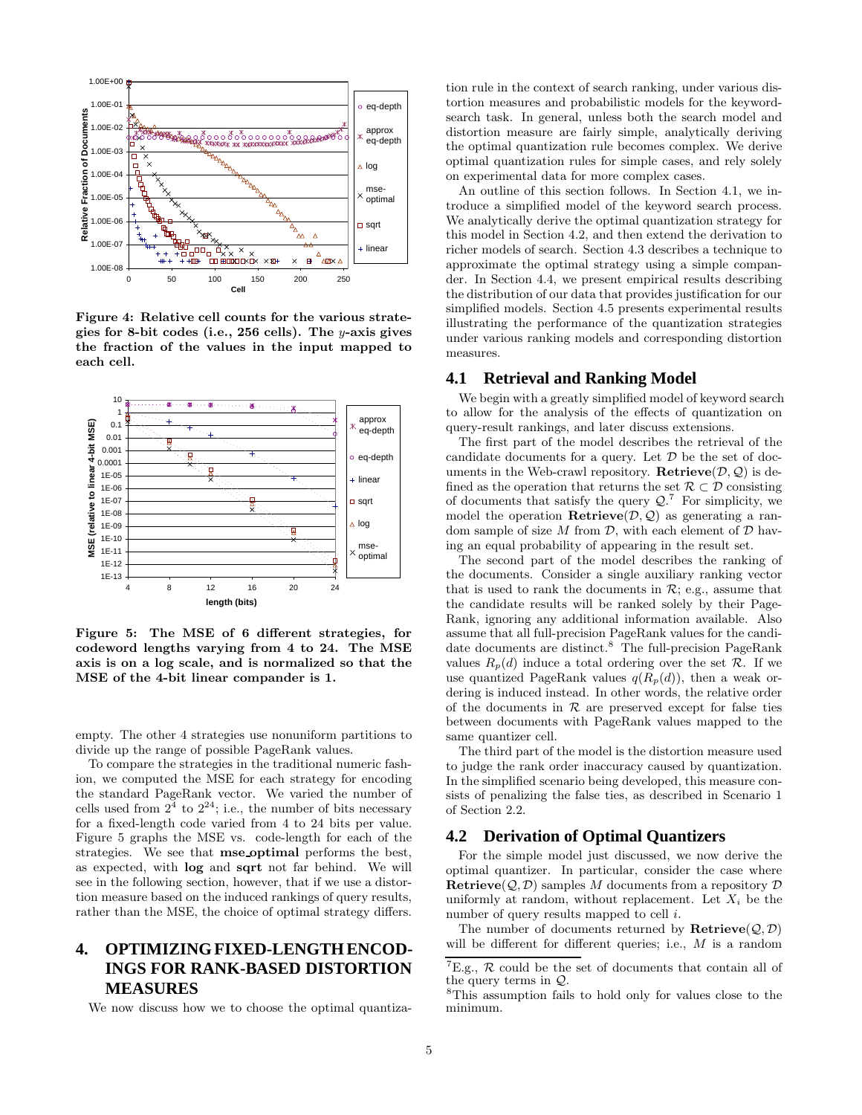

Figure 4: Relative cell counts for the various strategies for 8-bit codes (i.e., 256 cells). The y-axis gives the fraction of the values in the input mapped to each cell.



Figure 5: The MSE of 6 different strategies, for codeword lengths varying from 4 to 24. The MSE axis is on a log scale, and is normalized so that the MSE of the 4-bit linear compander is 1.

empty. The other 4 strategies use nonuniform partitions to divide up the range of possible PageRank values.

To compare the strategies in the traditional numeric fashion, we computed the MSE for each strategy for encoding the standard PageRank vector. We varied the number of cells used from  $2^4$  to  $2^{24}$ ; i.e., the number of bits necessary for a fixed-length code varied from 4 to 24 bits per value. Figure 5 graphs the MSE vs. code-length for each of the strategies. We see that mse optimal performs the best, as expected, with log and sqrt not far behind. We will see in the following section, however, that if we use a distortion measure based on the induced rankings of query results, rather than the MSE, the choice of optimal strategy differs.

# **4. OPTIMIZINGFIXED-LENGTHENCOD-INGS FOR RANK-BASED DISTORTION MEASURES**

We now discuss how we to choose the optimal quantiza-

tion rule in the context of search ranking, under various distortion measures and probabilistic models for the keywordsearch task. In general, unless both the search model and distortion measure are fairly simple, analytically deriving the optimal quantization rule becomes complex. We derive optimal quantization rules for simple cases, and rely solely on experimental data for more complex cases.

An outline of this section follows. In Section 4.1, we introduce a simplified model of the keyword search process. We analytically derive the optimal quantization strategy for this model in Section 4.2, and then extend the derivation to richer models of search. Section 4.3 describes a technique to approximate the optimal strategy using a simple compander. In Section 4.4, we present empirical results describing the distribution of our data that provides justification for our simplified models. Section 4.5 presents experimental results illustrating the performance of the quantization strategies under various ranking models and corresponding distortion measures.

#### **4.1 Retrieval and Ranking Model**

We begin with a greatly simplified model of keyword search to allow for the analysis of the effects of quantization on query-result rankings, and later discuss extensions.

The first part of the model describes the retrieval of the candidate documents for a query. Let  $D$  be the set of documents in the Web-crawl repository. Retrieve $(\mathcal{D}, \mathcal{Q})$  is defined as the operation that returns the set  $\mathcal{R} \subset \mathcal{D}$  consisting of documents that satisfy the query  $Q$ .<sup>7</sup> For simplicity, we model the operation **Retrieve** $(\mathcal{D}, \mathcal{Q})$  as generating a random sample of size M from  $\mathcal{D}$ , with each element of  $\mathcal{D}$  having an equal probability of appearing in the result set.

The second part of the model describes the ranking of the documents. Consider a single auxiliary ranking vector that is used to rank the documents in  $\mathcal{R}$ ; e.g., assume that the candidate results will be ranked solely by their Page-Rank, ignoring any additional information available. Also assume that all full-precision PageRank values for the candidate documents are distinct.<sup>8</sup> The full-precision PageRank values  $R_p(d)$  induce a total ordering over the set  $\mathcal R$ . If we use quantized PageRank values  $q(R_p(d))$ , then a weak ordering is induced instead. In other words, the relative order of the documents in  $R$  are preserved except for false ties between documents with PageRank values mapped to the same quantizer cell.

The third part of the model is the distortion measure used to judge the rank order inaccuracy caused by quantization. In the simplified scenario being developed, this measure consists of penalizing the false ties, as described in Scenario 1 of Section 2.2.

#### **4.2 Derivation of Optimal Quantizers**

For the simple model just discussed, we now derive the optimal quantizer. In particular, consider the case where **Retrieve** $(Q, D)$  samples M documents from a repository D uniformly at random, without replacement. Let  $X_i$  be the number of query results mapped to cell *i*.

The number of documents returned by  $\textbf{Retrive}(\mathcal{Q},\mathcal{D})$ will be different for different queries; i.e., M is a random

 ${\rm ^7E.g.,}$   ${\mathcal R}$  could be the set of documents that contain all of the query terms in Q.

<sup>8</sup>This assumption fails to hold only for values close to the minimum.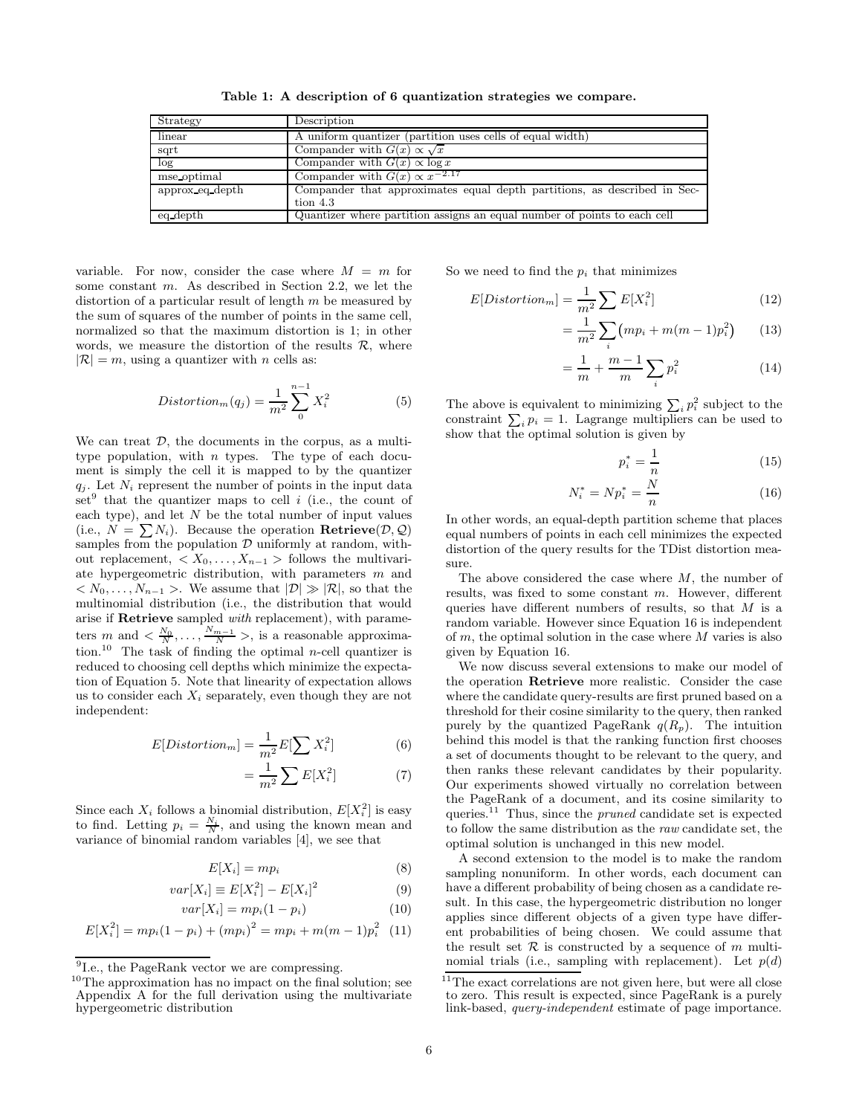Table 1: A description of 6 quantization strategies we compare.

| Strategy         | Description                                                                            |
|------------------|----------------------------------------------------------------------------------------|
| linear           | A uniform quantizer (partition uses cells of equal width)                              |
| sqrt             | Compander with $G(x) \propto \sqrt{x}$                                                 |
| log <sub>1</sub> | Compander with $G(x) \propto \log x$                                                   |
| mse optimal      | Compander with $G(x) \propto x^{-2.17}$                                                |
| approx eq depth  | Compander that approximates equal depth partitions, as described in Sec-<br>tion $4.3$ |
| eq depth         | Quantizer where partition assigns an equal number of points to each cell               |

variable. For now, consider the case where  $M = m$  for some constant m. As described in Section 2.2, we let the distortion of a particular result of length  $m$  be measured by the sum of squares of the number of points in the same cell, normalized so that the maximum distortion is 1; in other words, we measure the distortion of the results  $\mathcal{R}$ , where  $|\mathcal{R}| = m$ , using a quantizer with *n* cells as:

$$
Distortion_m(q_j) = \frac{1}{m^2} \sum_{0}^{n-1} X_i^2
$$
 (5)

We can treat  $D$ , the documents in the corpus, as a multitype population, with  $n$  types. The type of each document is simply the cell it is mapped to by the quantizer  $q_i$ . Let  $N_i$  represent the number of points in the input data set<sup>9</sup> that the quantizer maps to cell *i* (i.e., the count of each type), and let  $N$  be the total number of input values (i.e.,  $N = \sum N_i$ ). Because the operation **Retrieve** $(\mathcal{D}, \mathcal{Q})$ samples from the population  $D$  uniformly at random, without replacement,  $\langle X_0, \ldots, X_{n-1} \rangle$  follows the multivariate hypergeometric distribution, with parameters m and  $\langle N_0, \ldots, N_{n-1} \rangle$ . We assume that  $|\mathcal{D}| \gg |\mathcal{R}|$ , so that the multinomial distribution (i.e., the distribution that would arise if Retrieve sampled with replacement), with parameters  $m$  and  $\langle \frac{N_0}{N}, \ldots, \frac{N_{m-1}}{N} \rangle$ , is a reasonable approximation.<sup>10</sup> The task of finding the optimal *n*-cell quantizer is reduced to choosing cell depths which minimize the expectation of Equation 5. Note that linearity of expectation allows us to consider each  $X_i$  separately, even though they are not independent:

$$
E[Distortion_m] = \frac{1}{m^2} E[\sum X_i^2]
$$
 (6) beh  
a se

$$
=\frac{1}{m^2}\sum E[X_i^2]
$$
 (7) t  
0

Since each  $X_i$  follows a binomial distribution,  $E[X_i^2]$  is easy to find. Letting  $p_i = \frac{N_i}{N}$ , and using the known mean and variance of binomial random variables [4], we see that

$$
E[X_i] = mp_i \tag{8}
$$

$$
var[X_i] \equiv E[X_i^2] - E[X_i]^2 \tag{9}
$$

$$
var[X_i] = mp_i(1 - p_i)
$$
\n(10)

$$
E[X_i^2] = mp_i(1 - p_i) + (mp_i)^2 = mp_i + m(m - 1)p_i^2
$$
 (11)

So we need to find the  $p_i$  that minimizes

$$
E[Distortion_m] = \frac{1}{m^2} \sum E[X_i^2]
$$
 (12)

$$
= \frac{1}{m^2} \sum_{i} (mp_i + m(m-1)p_i^2)
$$
 (13)

$$
= \frac{1}{m} + \frac{m-1}{m} \sum_{i} p_i^2 \tag{14}
$$

The above is equivalent to minimizing  $\sum_i p_i^2$  subject to the constraint  $\sum_i p_i = 1$ . Lagrange multipliers can be used to show that the optimal solution is given by

$$
p_i^* = \frac{1}{n} \tag{15}
$$

$$
N_i^* = N p_i^* = \frac{N}{n} \tag{16}
$$

In other words, an equal-depth partition scheme that places equal numbers of points in each cell minimizes the expected distortion of the query results for the TDist distortion measure.

The above considered the case where  $M$ , the number of results, was fixed to some constant m. However, different queries have different numbers of results, so that  $M$  is a random variable. However since Equation 16 is independent of  $m$ , the optimal solution in the case where  $M$  varies is also given by Equation 16.

We now discuss several extensions to make our model of the operation Retrieve more realistic. Consider the case where the candidate query-results are first pruned based on a threshold for their cosine similarity to the query, then ranked purely by the quantized PageRank  $q(R_p)$ . The intuition behind this model is that the ranking function first chooses a set of documents thought to be relevant to the query, and then ranks these relevant candidates by their popularity. Our experiments showed virtually no correlation between the PageRank of a document, and its cosine similarity to queries.<sup>11</sup> Thus, since the *pruned* candidate set is expected to follow the same distribution as the raw candidate set, the optimal solution is unchanged in this new model.

A second extension to the model is to make the random sampling nonuniform. In other words, each document can have a different probability of being chosen as a candidate result. In this case, the hypergeometric distribution no longer applies since different objects of a given type have different probabilities of being chosen. We could assume that the result set  $R$  is constructed by a sequence of m multinomial trials (i.e., sampling with replacement). Let  $p(d)$ 

<sup>&</sup>lt;sup>9</sup>Le., the PageRank vector we are compressing.

<sup>10</sup>The approximation has no impact on the final solution; see Appendix A for the full derivation using the multivariate hypergeometric distribution

<sup>&</sup>lt;sup>11</sup>The exact correlations are not given here, but were all close to zero. This result is expected, since PageRank is a purely link-based, query-independent estimate of page importance.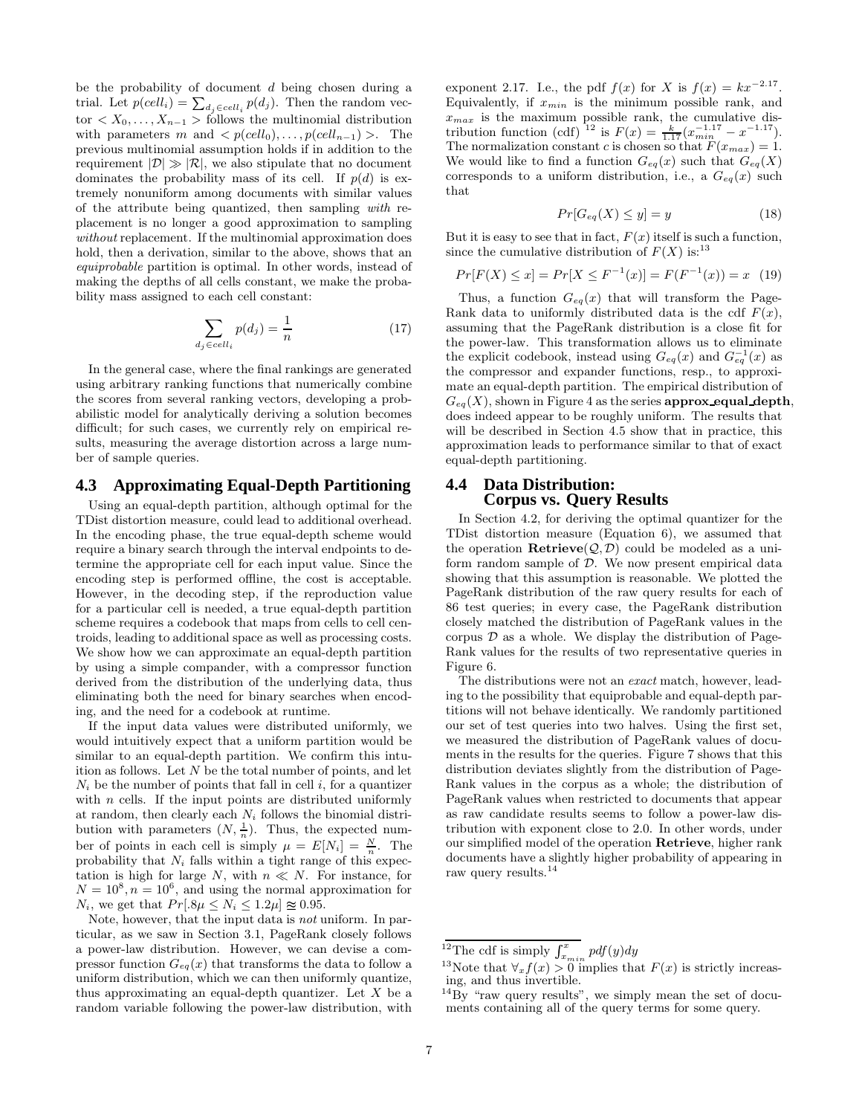be the probability of document d being chosen during a trial. Let  $p(cell_i) = \sum_{d_j \in cell_i} p(d_j)$ . Then the random vector  $\langle X_0, \ldots, X_{n-1} \rangle$  follows the multinomial distribution with parameters m and  $\langle p(\text{cell}_0), \ldots, p(\text{cell}_{n-1}) \rangle$ . The previous multinomial assumption holds if in addition to the requirement  $|\mathcal{D}| \gg |\mathcal{R}|$ , we also stipulate that no document dominates the probability mass of its cell. If  $p(d)$  is extremely nonuniform among documents with similar values of the attribute being quantized, then sampling with replacement is no longer a good approximation to sampling without replacement. If the multinomial approximation does hold, then a derivation, similar to the above, shows that an equiprobable partition is optimal. In other words, instead of making the depths of all cells constant, we make the probability mass assigned to each cell constant:

$$
\sum_{d_j \in cell_i} p(d_j) = \frac{1}{n} \tag{17}
$$

In the general case, where the final rankings are generated using arbitrary ranking functions that numerically combine the scores from several ranking vectors, developing a probabilistic model for analytically deriving a solution becomes difficult; for such cases, we currently rely on empirical results, measuring the average distortion across a large number of sample queries.

# **4.3 Approximating Equal-Depth Partitioning**

Using an equal-depth partition, although optimal for the TDist distortion measure, could lead to additional overhead. In the encoding phase, the true equal-depth scheme would require a binary search through the interval endpoints to determine the appropriate cell for each input value. Since the encoding step is performed offline, the cost is acceptable. However, in the decoding step, if the reproduction value for a particular cell is needed, a true equal-depth partition scheme requires a codebook that maps from cells to cell centroids, leading to additional space as well as processing costs. We show how we can approximate an equal-depth partition by using a simple compander, with a compressor function derived from the distribution of the underlying data, thus eliminating both the need for binary searches when encoding, and the need for a codebook at runtime.

If the input data values were distributed uniformly, we would intuitively expect that a uniform partition would be similar to an equal-depth partition. We confirm this intuition as follows. Let  $N$  be the total number of points, and let  $N_i$  be the number of points that fall in cell i, for a quantizer with  $n$  cells. If the input points are distributed uniformly at random, then clearly each  $N_i$  follows the binomial distribution with parameters  $(N, \frac{1}{n})$  $\frac{1}{n}$ ). Thus, the expected number of points in each cell is simply  $\mu = E[N_i] = \frac{N}{n}$ . The probability that  $N_i$  falls within a tight range of this expectation is high for large  $N$ , with  $n \ll N$ . For instance, for  $N = 10^8, n = 10^6$ , and using the normal approximation for  $N_i$ , we get that  $Pr[.8\mu \le N_i \le 1.2\mu] \approx 0.95$ .

Note, however, that the input data is not uniform. In particular, as we saw in Section 3.1, PageRank closely follows a power-law distribution. However, we can devise a compressor function  $G_{eq}(x)$  that transforms the data to follow a uniform distribution, which we can then uniformly quantize, thus approximating an equal-depth quantizer. Let  $X$  be a random variable following the power-law distribution, with

exponent 2.17. I.e., the pdf  $f(x)$  for X is  $f(x) = kx^{-2.17}$ . Equivalently, if  $x_{min}$  is the minimum possible rank, and  $x_{max}$  is the maximum possible rank, the cumulative distribution function (cdf) <sup>12</sup> is  $F(x) = \frac{k}{1.17} (x_{min}^{-1.17} - x^{-1.17})$ . The normalization constant c is chosen so that  $F(x_{max}) = 1$ . We would like to find a function  $G_{eq}(x)$  such that  $G_{eq}(X)$ corresponds to a uniform distribution, i.e., a  $G_{eq}(x)$  such that

$$
Pr[G_{eq}(X) \le y] = y \tag{18}
$$

But it is easy to see that in fact,  $F(x)$  itself is such a function, since the cumulative distribution of  $F(X)$  is:<sup>13</sup>

$$
Pr[F(X) \le x] = Pr[X \le F^{-1}(x)] = F(F^{-1}(x)) = x \quad (19)
$$

Thus, a function  $G_{eq}(x)$  that will transform the Page-Rank data to uniformly distributed data is the cdf  $F(x)$ , assuming that the PageRank distribution is a close fit for the power-law. This transformation allows us to eliminate the explicit codebook, instead using  $G_{eq}(x)$  and  $G_{eq}^{-1}(x)$  as the compressor and expander functions, resp., to approximate an equal-depth partition. The empirical distribution of  $G_{eq}(X)$ , shown in Figure 4 as the series **approx equal depth**, does indeed appear to be roughly uniform. The results that will be described in Section 4.5 show that in practice, this approximation leads to performance similar to that of exact equal-depth partitioning.

#### **4.4 Data Distribution: Corpus vs. Query Results**

In Section 4.2, for deriving the optimal quantizer for the TDist distortion measure (Equation 6), we assumed that the operation  $\textbf{Retrieve}(\mathcal{Q},\mathcal{D})$  could be modeled as a uniform random sample of  $\mathcal{D}$ . We now present empirical data showing that this assumption is reasonable. We plotted the PageRank distribution of the raw query results for each of 86 test queries; in every case, the PageRank distribution closely matched the distribution of PageRank values in the corpus  $\mathcal D$  as a whole. We display the distribution of Page-Rank values for the results of two representative queries in Figure 6.

The distributions were not an exact match, however, leading to the possibility that equiprobable and equal-depth partitions will not behave identically. We randomly partitioned our set of test queries into two halves. Using the first set, we measured the distribution of PageRank values of documents in the results for the queries. Figure 7 shows that this distribution deviates slightly from the distribution of Page-Rank values in the corpus as a whole; the distribution of PageRank values when restricted to documents that appear as raw candidate results seems to follow a power-law distribution with exponent close to 2.0. In other words, under our simplified model of the operation Retrieve, higher rank documents have a slightly higher probability of appearing in raw query results.<sup>14</sup>

<sup>&</sup>lt;sup>12</sup>The cdf is simply  $\int_{x_{min}}^{x} pdf(y)dy$ 

<sup>&</sup>lt;sup>13</sup>Note that  $\forall x f(x) > 0$  implies that  $F(x)$  is strictly increasing, and thus invertible.

 $^{14}$ By "raw query results", we simply mean the set of documents containing all of the query terms for some query.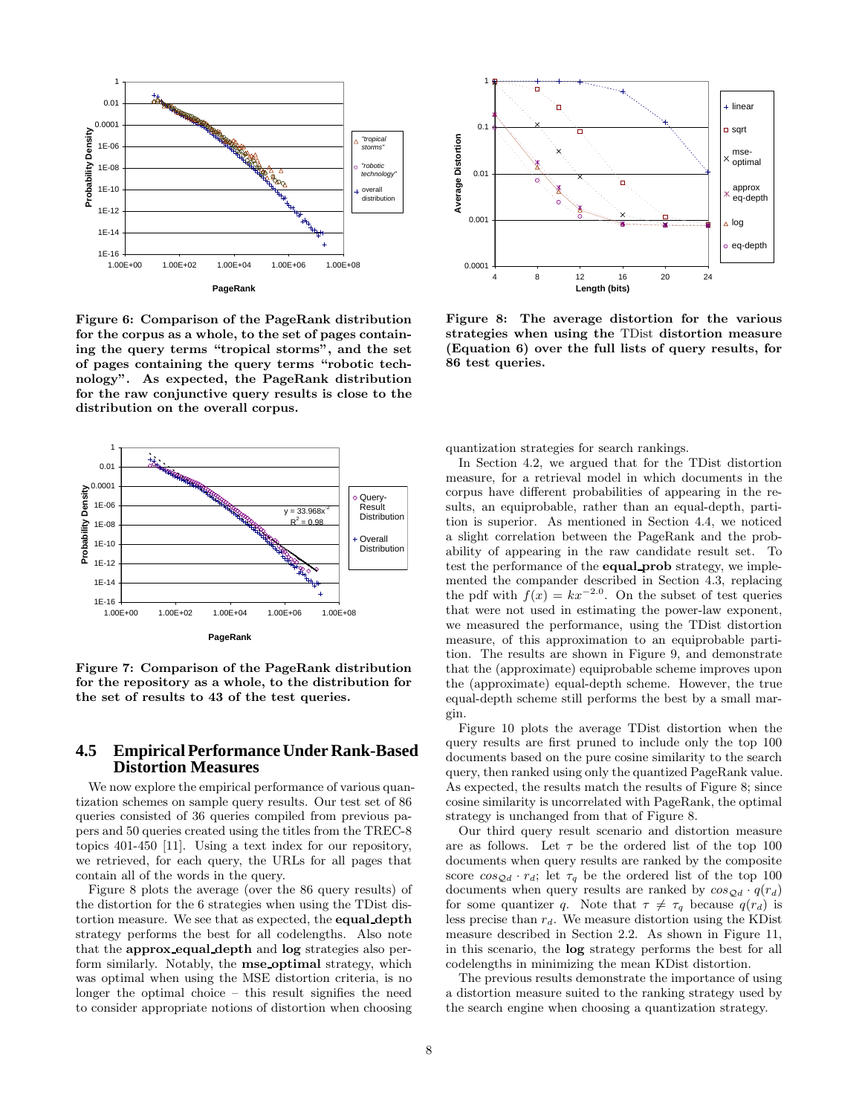

Figure 6: Comparison of the PageRank distribution for the corpus as a whole, to the set of pages containing the query terms "tropical storms", and the set of pages containing the query terms "robotic technology". As expected, the PageRank distribution for the raw conjunctive query results is close to the distribution on the overall corpus.



Figure 7: Comparison of the PageRank distribution for the repository as a whole, to the distribution for the set of results to 43 of the test queries.

# **4.5 EmpiricalPerformance Under Rank-Based Distortion Measures**

We now explore the empirical performance of various quantization schemes on sample query results. Our test set of 86 queries consisted of 36 queries compiled from previous papers and 50 queries created using the titles from the TREC-8 topics 401-450 [11]. Using a text index for our repository, we retrieved, for each query, the URLs for all pages that contain all of the words in the query.

Figure 8 plots the average (over the 86 query results) of the distortion for the 6 strategies when using the TDist distortion measure. We see that as expected, the equal depth strategy performs the best for all codelengths. Also note that the approx equal depth and log strategies also perform similarly. Notably, the mse optimal strategy, which was optimal when using the MSE distortion criteria, is no longer the optimal choice – this result signifies the need to consider appropriate notions of distortion when choosing



Figure 8: The average distortion for the various strategies when using the TDist distortion measure (Equation 6) over the full lists of query results, for 86 test queries.

quantization strategies for search rankings.

In Section 4.2, we argued that for the TDist distortion measure, for a retrieval model in which documents in the corpus have different probabilities of appearing in the results, an equiprobable, rather than an equal-depth, partition is superior. As mentioned in Section 4.4, we noticed a slight correlation between the PageRank and the probability of appearing in the raw candidate result set. To test the performance of the equal prob strategy, we implemented the compander described in Section 4.3, replacing the pdf with  $f(x) = kx^{-2.0}$ . On the subset of test queries that were not used in estimating the power-law exponent, we measured the performance, using the TDist distortion measure, of this approximation to an equiprobable partition. The results are shown in Figure 9, and demonstrate that the (approximate) equiprobable scheme improves upon the (approximate) equal-depth scheme. However, the true equal-depth scheme still performs the best by a small margin.

Figure 10 plots the average TDist distortion when the query results are first pruned to include only the top 100 documents based on the pure cosine similarity to the search query, then ranked using only the quantized PageRank value. As expected, the results match the results of Figure 8; since cosine similarity is uncorrelated with PageRank, the optimal strategy is unchanged from that of Figure 8.

Our third query result scenario and distortion measure are as follows. Let  $\tau$  be the ordered list of the top 100 documents when query results are ranked by the composite score  $\cos_{\mathcal{Q}d} \cdot r_d$ ; let  $\tau_q$  be the ordered list of the top 100 documents when query results are ranked by  $\cos_{\mathcal{Q}d} \cdot q(r_d)$ for some quantizer q. Note that  $\tau \neq \tau_q$  because  $q(r_d)$  is less precise than  $r_d$ . We measure distortion using the KDist measure described in Section 2.2. As shown in Figure 11, in this scenario, the log strategy performs the best for all codelengths in minimizing the mean KDist distortion.

The previous results demonstrate the importance of using a distortion measure suited to the ranking strategy used by the search engine when choosing a quantization strategy.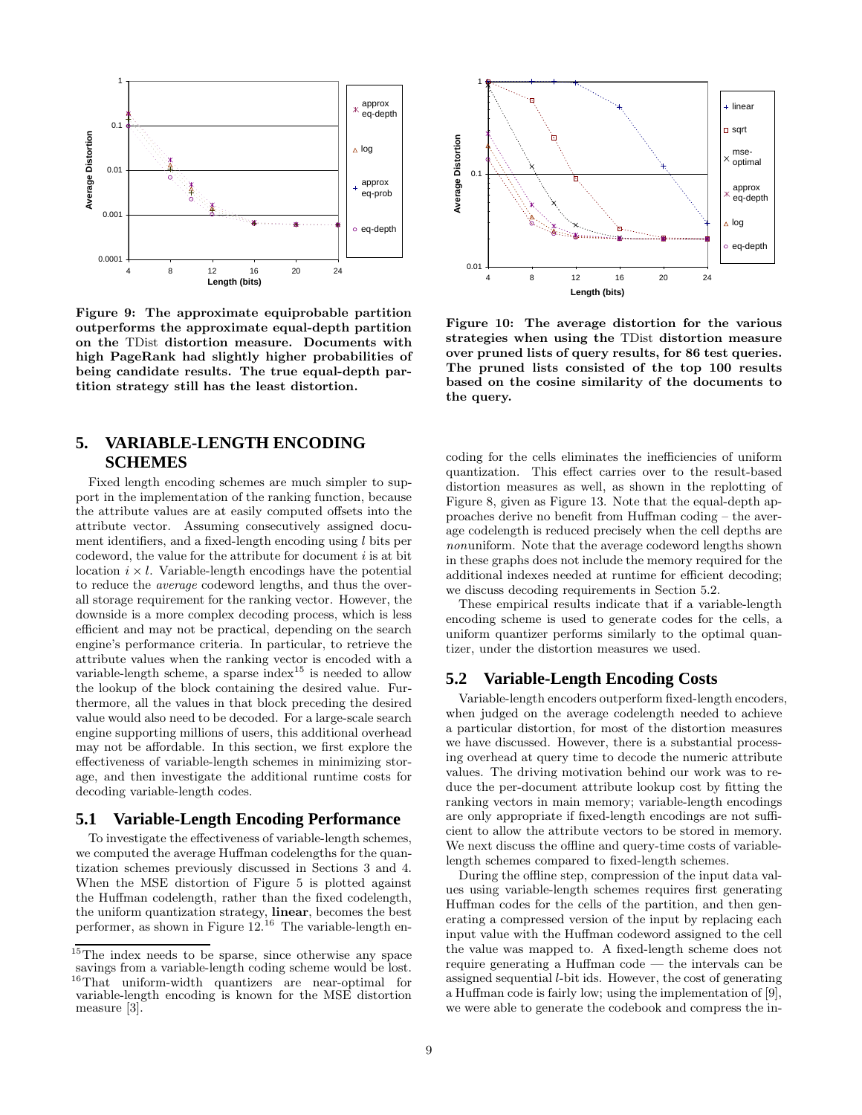

Figure 9: The approximate equiprobable partition outperforms the approximate equal-depth partition on the TDist distortion measure. Documents with high PageRank had slightly higher probabilities of being candidate results. The true equal-depth partition strategy still has the least distortion.

# **5. VARIABLE-LENGTH ENCODING SCHEMES**

Fixed length encoding schemes are much simpler to support in the implementation of the ranking function, because the attribute values are at easily computed offsets into the attribute vector. Assuming consecutively assigned document identifiers, and a fixed-length encoding using  $l$  bits per codeword, the value for the attribute for document  $i$  is at bit location  $i \times l$ . Variable-length encodings have the potential to reduce the average codeword lengths, and thus the overall storage requirement for the ranking vector. However, the downside is a more complex decoding process, which is less efficient and may not be practical, depending on the search engine's performance criteria. In particular, to retrieve the attribute values when the ranking vector is encoded with a variable-length scheme, a sparse index<sup>15</sup> is needed to allow the lookup of the block containing the desired value. Furthermore, all the values in that block preceding the desired value would also need to be decoded. For a large-scale search engine supporting millions of users, this additional overhead may not be affordable. In this section, we first explore the effectiveness of variable-length schemes in minimizing storage, and then investigate the additional runtime costs for decoding variable-length codes.

#### **5.1 Variable-Length Encoding Performance**

To investigate the effectiveness of variable-length schemes, we computed the average Huffman codelengths for the quantization schemes previously discussed in Sections 3 and 4. When the MSE distortion of Figure 5 is plotted against the Huffman codelength, rather than the fixed codelength, the uniform quantization strategy, linear, becomes the best performer, as shown in Figure  $12^{16}$  The variable-length en-



Figure 10: The average distortion for the various strategies when using the TDist distortion measure over pruned lists of query results, for 86 test queries. The pruned lists consisted of the top 100 results based on the cosine similarity of the documents to the query.

coding for the cells eliminates the inefficiencies of uniform quantization. This effect carries over to the result-based distortion measures as well, as shown in the replotting of Figure 8, given as Figure 13. Note that the equal-depth approaches derive no benefit from Huffman coding – the average codelength is reduced precisely when the cell depths are nonuniform. Note that the average codeword lengths shown in these graphs does not include the memory required for the additional indexes needed at runtime for efficient decoding; we discuss decoding requirements in Section 5.2.

These empirical results indicate that if a variable-length encoding scheme is used to generate codes for the cells, a uniform quantizer performs similarly to the optimal quantizer, under the distortion measures we used.

# **5.2 Variable-Length Encoding Costs**

Variable-length encoders outperform fixed-length encoders, when judged on the average codelength needed to achieve a particular distortion, for most of the distortion measures we have discussed. However, there is a substantial processing overhead at query time to decode the numeric attribute values. The driving motivation behind our work was to reduce the per-document attribute lookup cost by fitting the ranking vectors in main memory; variable-length encodings are only appropriate if fixed-length encodings are not sufficient to allow the attribute vectors to be stored in memory. We next discuss the offline and query-time costs of variablelength schemes compared to fixed-length schemes.

During the offline step, compression of the input data values using variable-length schemes requires first generating Huffman codes for the cells of the partition, and then generating a compressed version of the input by replacing each input value with the Huffman codeword assigned to the cell the value was mapped to. A fixed-length scheme does not require generating a Huffman code — the intervals can be assigned sequential l-bit ids. However, the cost of generating a Huffman code is fairly low; using the implementation of [9], we were able to generate the codebook and compress the in-

 $\sqrt[15]{\text{The index needs to be sparse, since otherwise any space}}$ savings from a variable-length coding scheme would be lost. <sup>16</sup>That uniform-width quantizers are near-optimal for variable-length encoding is known for the MSE distortion measure [3].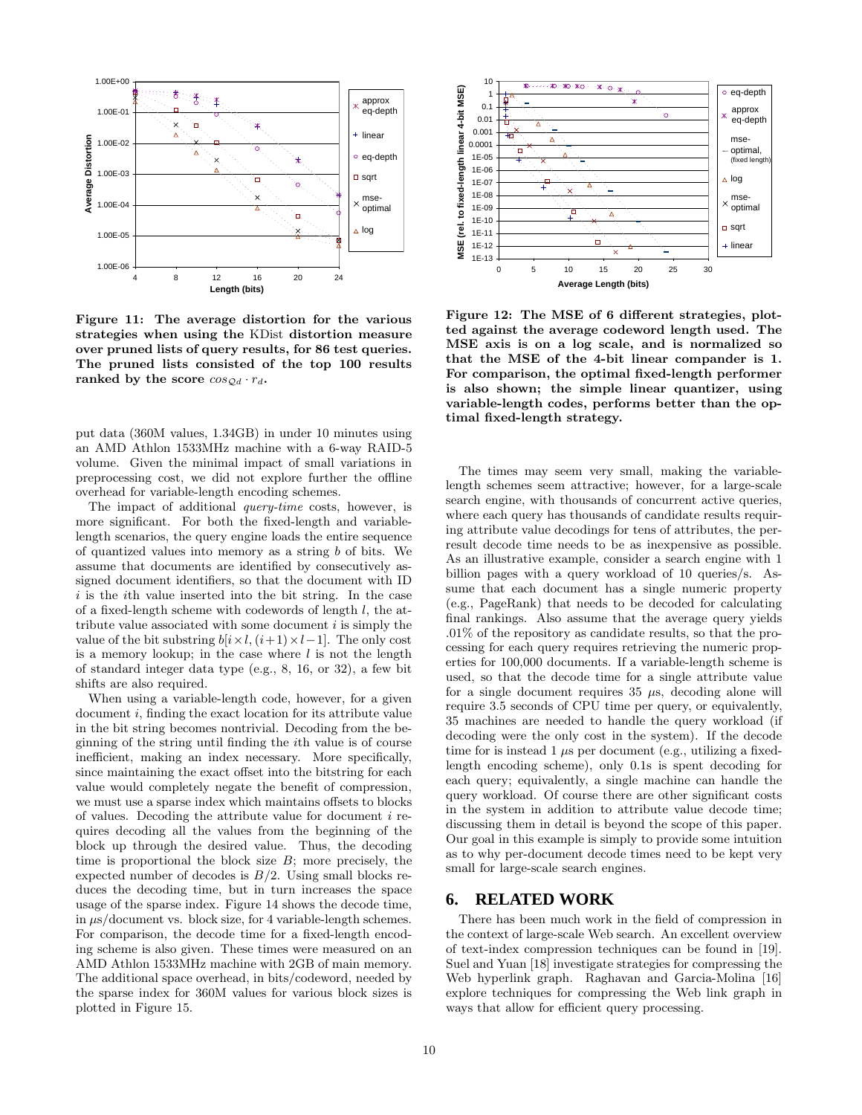

Figure 11: The average distortion for the various strategies when using the KDist distortion measure over pruned lists of query results, for 86 test queries. The pruned lists consisted of the top 100 results ranked by the score  $\cos_{\mathcal{Q}d} \cdot r_d$ .

put data (360M values, 1.34GB) in under 10 minutes using an AMD Athlon 1533MHz machine with a 6-way RAID-5 volume. Given the minimal impact of small variations in preprocessing cost, we did not explore further the offline overhead for variable-length encoding schemes.

The impact of additional query-time costs, however, is more significant. For both the fixed-length and variablelength scenarios, the query engine loads the entire sequence of quantized values into memory as a string b of bits. We assume that documents are identified by consecutively assigned document identifiers, so that the document with ID  $i$  is the *i*th value inserted into the bit string. In the case of a fixed-length scheme with codewords of length  $l$ , the attribute value associated with some document  $i$  is simply the value of the bit substring  $b[i \times l, (i+1) \times l-1]$ . The only cost is a memory lookup; in the case where  $l$  is not the length of standard integer data type (e.g., 8, 16, or 32), a few bit shifts are also required.

When using a variable-length code, however, for a given document i, finding the exact location for its attribute value in the bit string becomes nontrivial. Decoding from the beginning of the string until finding the ith value is of course inefficient, making an index necessary. More specifically, since maintaining the exact offset into the bitstring for each value would completely negate the benefit of compression, we must use a sparse index which maintains offsets to blocks of values. Decoding the attribute value for document i requires decoding all the values from the beginning of the block up through the desired value. Thus, the decoding time is proportional the block size  $B$ ; more precisely, the expected number of decodes is  $B/2$ . Using small blocks reduces the decoding time, but in turn increases the space usage of the sparse index. Figure 14 shows the decode time, in  $\mu$ s/document vs. block size, for 4 variable-length schemes. For comparison, the decode time for a fixed-length encoding scheme is also given. These times were measured on an AMD Athlon 1533MHz machine with 2GB of main memory. The additional space overhead, in bits/codeword, needed by the sparse index for 360M values for various block sizes is plotted in Figure 15.



Figure 12: The MSE of 6 different strategies, plotted against the average codeword length used. The MSE axis is on a log scale, and is normalized so that the MSE of the 4-bit linear compander is 1. For comparison, the optimal fixed-length performer is also shown; the simple linear quantizer, using variable-length codes, performs better than the optimal fixed-length strategy.

The times may seem very small, making the variablelength schemes seem attractive; however, for a large-scale search engine, with thousands of concurrent active queries, where each query has thousands of candidate results requiring attribute value decodings for tens of attributes, the perresult decode time needs to be as inexpensive as possible. As an illustrative example, consider a search engine with 1 billion pages with a query workload of 10 queries/s. Assume that each document has a single numeric property (e.g., PageRank) that needs to be decoded for calculating final rankings. Also assume that the average query yields .01% of the repository as candidate results, so that the processing for each query requires retrieving the numeric properties for 100,000 documents. If a variable-length scheme is used, so that the decode time for a single attribute value for a single document requires  $35 \mu s$ , decoding alone will require 3.5 seconds of CPU time per query, or equivalently, 35 machines are needed to handle the query workload (if decoding were the only cost in the system). If the decode time for is instead 1  $\mu$ s per document (e.g., utilizing a fixedlength encoding scheme), only 0.1s is spent decoding for each query; equivalently, a single machine can handle the query workload. Of course there are other significant costs in the system in addition to attribute value decode time; discussing them in detail is beyond the scope of this paper. Our goal in this example is simply to provide some intuition as to why per-document decode times need to be kept very small for large-scale search engines.

#### **6. RELATED WORK**

There has been much work in the field of compression in the context of large-scale Web search. An excellent overview of text-index compression techniques can be found in [19]. Suel and Yuan [18] investigate strategies for compressing the Web hyperlink graph. Raghavan and Garcia-Molina [16] explore techniques for compressing the Web link graph in ways that allow for efficient query processing.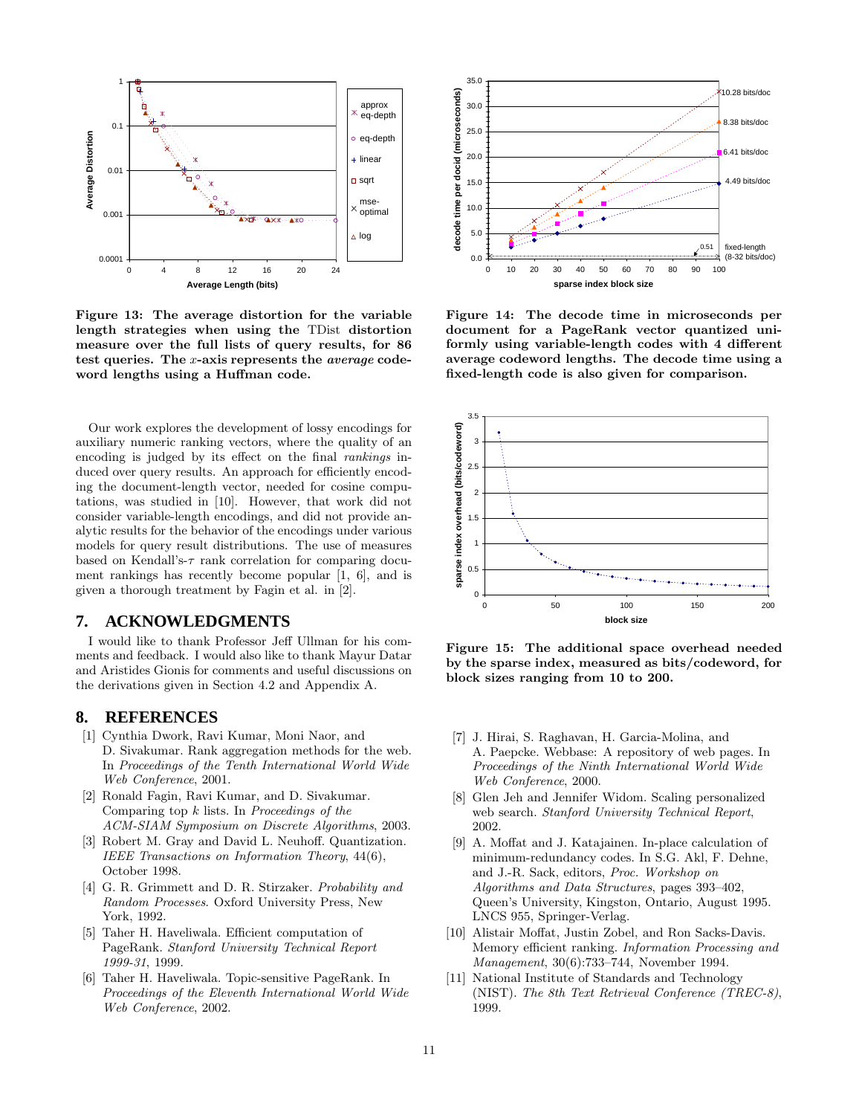

Figure 13: The average distortion for the variable length strategies when using the TDist distortion measure over the full lists of query results, for 86 test queries. The x-axis represents the average codeword lengths using a Huffman code.

Our work explores the development of lossy encodings for auxiliary numeric ranking vectors, where the quality of an encoding is judged by its effect on the final rankings induced over query results. An approach for efficiently encoding the document-length vector, needed for cosine computations, was studied in [10]. However, that work did not consider variable-length encodings, and did not provide analytic results for the behavior of the encodings under various models for query result distributions. The use of measures based on Kendall's- $\tau$  rank correlation for comparing document rankings has recently become popular [1, 6], and is given a thorough treatment by Fagin et al. in [2].

# **7. ACKNOWLEDGMENTS**

I would like to thank Professor Jeff Ullman for his comments and feedback. I would also like to thank Mayur Datar and Aristides Gionis for comments and useful discussions on the derivations given in Section 4.2 and Appendix A.

# **8. REFERENCES**

- [1] Cynthia Dwork, Ravi Kumar, Moni Naor, and D. Sivakumar. Rank aggregation methods for the web. In Proceedings of the Tenth International World Wide Web Conference, 2001.
- [2] Ronald Fagin, Ravi Kumar, and D. Sivakumar. Comparing top  $k$  lists. In Proceedings of the ACM-SIAM Symposium on Discrete Algorithms, 2003.
- [3] Robert M. Gray and David L. Neuhoff. Quantization. IEEE Transactions on Information Theory, 44(6), October 1998.
- [4] G. R. Grimmett and D. R. Stirzaker. *Probability and* Random Processes. Oxford University Press, New York, 1992.
- [5] Taher H. Haveliwala. Efficient computation of PageRank. Stanford University Technical Report 1999-31, 1999.
- [6] Taher H. Haveliwala. Topic-sensitive PageRank. In Proceedings of the Eleventh International World Wide Web Conference, 2002.



Figure 14: The decode time in microseconds per document for a PageRank vector quantized uniformly using variable-length codes with 4 different average codeword lengths. The decode time using a fixed-length code is also given for comparison.



Figure 15: The additional space overhead needed by the sparse index, measured as bits/codeword, for block sizes ranging from 10 to 200.

- [7] J. Hirai, S. Raghavan, H. Garcia-Molina, and A. Paepcke. Webbase: A repository of web pages. In Proceedings of the Ninth International World Wide Web Conference, 2000.
- [8] Glen Jeh and Jennifer Widom. Scaling personalized web search. Stanford University Technical Report, 2002.
- [9] A. Moffat and J. Katajainen. In-place calculation of minimum-redundancy codes. In S.G. Akl, F. Dehne, and J.-R. Sack, editors, Proc. Workshop on Algorithms and Data Structures, pages 393–402, Queen's University, Kingston, Ontario, August 1995. LNCS 955, Springer-Verlag.
- [10] Alistair Moffat, Justin Zobel, and Ron Sacks-Davis. Memory efficient ranking. Information Processing and Management, 30(6):733–744, November 1994.
- [11] National Institute of Standards and Technology (NIST). The 8th Text Retrieval Conference (TREC-8), 1999.